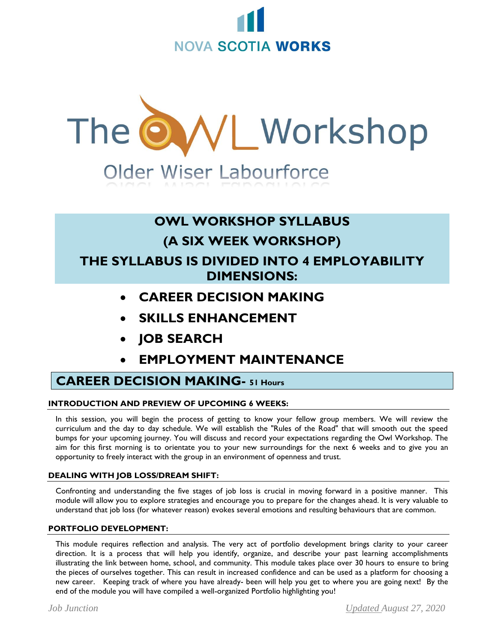



# **OWL WORKSHOP SYLLABUS (A SIX WEEK WORKSHOP) THE SYLLABUS IS DIVIDED INTO 4 EMPLOYABILITY DIMENSIONS:**

- **CAREER DECISION MAKING**
- **SKILLS ENHANCEMENT**
- **JOB SEARCH**
- **EMPLOYMENT MAINTENANCE**

# **CAREER DECISION MAKING- 51 Hours**

### **INTRODUCTION AND PREVIEW OF UPCOMING 6 WEEKS:**

In this session, you will begin the process of getting to know your fellow group members. We will review the curriculum and the day to day schedule. We will establish the "Rules of the Road" that will smooth out the speed bumps for your upcoming journey. You will discuss and record your expectations regarding the Owl Workshop. The aim for this first morning is to orientate you to your new surroundings for the next 6 weeks and to give you an opportunity to freely interact with the group in an environment of openness and trust.

### **DEALING WITH JOB LOSS/DREAM SHIFT:**

Confronting and understanding the five stages of job loss is crucial in moving forward in a positive manner. This module will allow you to explore strategies and encourage you to prepare for the changes ahead. It is very valuable to understand that job loss (for whatever reason) evokes several emotions and resulting behaviours that are common.

### **PORTFOLIO DEVELOPMENT:**

This module requires reflection and analysis. The very act of portfolio development brings clarity to your career direction. It is a process that will help you identify, organize, and describe your past learning accomplishments illustrating the link between home, school, and community. This module takes place over 30 hours to ensure to bring the pieces of ourselves together. This can result in increased confidence and can be used as a platform for choosing a new career. Keeping track of where you have already- been will help you get to where you are going next! By the end of the module you will have compiled a well-organized Portfolio highlighting you!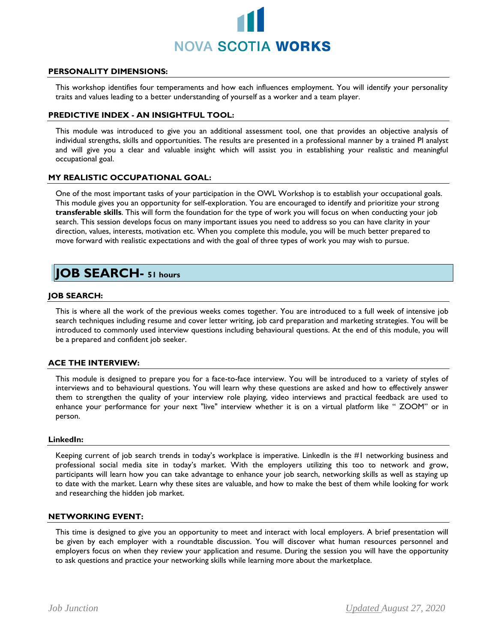

#### **PERSONALITY DIMENSIONS:**

This workshop identifies four temperaments and how each influences employment. You will identify your personality traits and values leading to a better understanding of yourself as a worker and a team player.

#### **PREDICTIVE INDEX - AN INSIGHTFUL TOOL:**

This module was introduced to give you an additional assessment tool, one that provides an objective analysis of individual strengths, skills and opportunities. The results are presented in a professional manner by a trained PI analyst and will give you a clear and valuable insight which will assist you in establishing your realistic and meaningful occupational goal.

#### **MY REALISTIC OCCUPATIONAL GOAL:**

One of the most important tasks of your participation in the OWL Workshop is to establish your occupational goals. This module gives you an opportunity for self-exploration. You are encouraged to identify and prioritize your strong **transferable skills**. This will form the foundation for the type of work you will focus on when conducting your job search. This session develops focus on many important issues you need to address so you can have clarity in your direction, values, interests, motivation etc. When you complete this module, you will be much better prepared to move forward with realistic expectations and with the goal of three types of work you may wish to pursue.

### **JOB SEARCH- 51 hours**

#### **JOB SEARCH:**

This is where all the work of the previous weeks comes together. You are introduced to a full week of intensive job search techniques including resume and cover letter writing, job card preparation and marketing strategies. You will be introduced to commonly used interview questions including behavioural questions. At the end of this module, you will be a prepared and confident job seeker.

#### **ACE THE INTERVIEW:**

This module is designed to prepare you for a face-to-face interview. You will be introduced to a variety of styles of interviews and to behavioural questions. You will learn why these questions are asked and how to effectively answer them to strengthen the quality of your interview role playing, video interviews and practical feedback are used to enhance your performance for your next "live" interview whether it is on a virtual platform like " ZOOM" or in person.

#### **LinkedIn:**

Keeping current of job search trends in today's workplace is imperative. LinkedIn is the #1 networking business and professional social media site in today's market. With the employers utilizing this too to network and grow, participants will learn how you can take advantage to enhance your job search, networking skills as well as staying up to date with the market. Learn why these sites are valuable, and how to make the best of them while looking for work and researching the hidden job market.

#### **NETWORKING EVENT:**

This time is designed to give you an opportunity to meet and interact with local employers. A brief presentation will be given by each employer with a roundtable discussion. You will discover what human resources personnel and employers focus on when they review your application and resume. During the session you will have the opportunity to ask questions and practice your networking skills while learning more about the marketplace.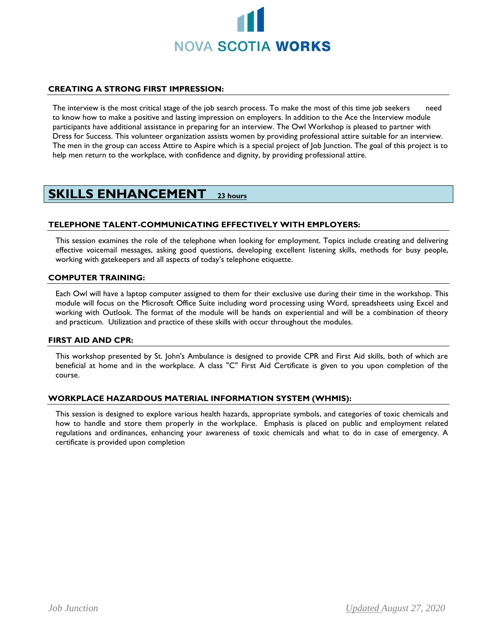

#### **CREATING A STRONG FIRST IMPRESSION:**

The interview is the most critical stage of the job search process. To make the most of this time job seekers need to know how to make a positive and lasting impression on employers. In addition to the Ace the Interview module participants have additional assistance in preparing for an interview. The Owl Workshop is pleased to partner with Dress for Success. This volunteer organization assists women by providing professional attire suitable for an interview. The men in the group can access Attire to Aspire which is a special project of Job Junction. The goal of this project is to help men return to the workplace, with confidence and dignity, by providing professional attire.

## **SKILLS ENHANCEMENT 23 hours**

#### **TELEPHONE TALENT-COMMUNICATING EFFECTIVELY WITH EMPLOYERS:**

This session examines the role of the telephone when looking for employment. Topics include creating and delivering effective voicemail messages, asking good questions, developing excellent listening skills, methods for busy people, working with gatekeepers and all aspects of today's telephone etiquette.

#### **COMPUTER TRAINING:**

Each Owl will have a laptop computer assigned to them for their exclusive use during their time in the workshop. This module will focus on the Microsoft Office Suite including word processing using Word, spreadsheets using Excel and working with Outlook. The format of the module will be hands on experiential and will be a combination of theory and practicum. Utilization and practice of these skills with occur throughout the modules.

#### **FIRST AID AND CPR:**

This workshop presented by St. John's Ambulance is designed to provide CPR and First Aid skills, both of which are beneficial at home and in the workplace. A class "C" First Aid Certificate is given to you upon completion of the course.

#### **WORKPLACE HAZARDOUS MATERIAL INFORMATION SYSTEM (WHMIS):**

This session is designed to explore various health hazards, appropriate symbols, and categories of toxic chemicals and how to handle and store them properly in the workplace. Emphasis is placed on public and employment related regulations and ordinances, enhancing your awareness of toxic chemicals and what to do in case of emergency. A certificate is provided upon completion